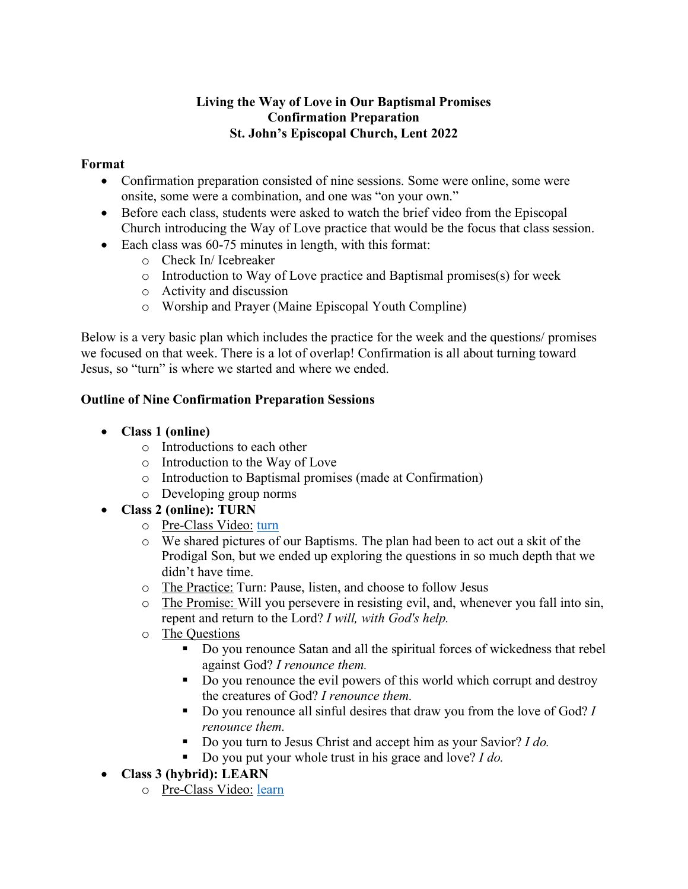### **Living the Way of Love in Our Baptismal Promises Confirmation Preparation St. John's Episcopal Church, Lent 2022**

### **Format**

- Confirmation preparation consisted of nine sessions. Some were online, some were onsite, some were a combination, and one was "on your own."
- Before each class, students were asked to watch the brief video from the Episcopal Church introducing the Way of Love practice that would be the focus that class session.
- Each class was 60-75 minutes in length, with this format:
	- o Check In/ Icebreaker
	- o Introduction to Way of Love practice and Baptismal promises(s) for week
	- o Activity and discussion
	- o Worship and Prayer (Maine Episcopal Youth Compline)

Below is a very basic plan which includes the practice for the week and the questions/ promises we focused on that week. There is a lot of overlap! Confirmation is all about turning toward Jesus, so "turn" is where we started and where we ended.

### **Outline of Nine Confirmation Preparation Sessions**

- **Class 1 (online)**
	- o Introductions to each other
	- o Introduction to the Way of Love
	- o Introduction to Baptismal promises (made at Confirmation)
	- o Developing group norms
- **Class 2 (online): TURN**
	- o Pre-Class Video: turn
	- o We shared pictures of our Baptisms. The plan had been to act out a skit of the Prodigal Son, but we ended up exploring the questions in so much depth that we didn't have time.
	- o The Practice: Turn: Pause, listen, and choose to follow Jesus
	- o The Promise: Will you persevere in resisting evil, and, whenever you fall into sin, repent and return to the Lord? *I will, with God's help.*
	- o The Questions
		- § Do you renounce Satan and all the spiritual forces of wickedness that rebel against God? *I renounce them.*
		- Do you renounce the evil powers of this world which corrupt and destroy the creatures of God? *I renounce them.*
		- Do you renounce all sinful desires that draw you from the love of God? *I renounce them.*
		- Do you turn to Jesus Christ and accept him as your Savior? *I do.*
		- Do you put your whole trust in his grace and love? *I do.*
- **Class 3 (hybrid): LEARN**
	- o Pre-Class Video: learn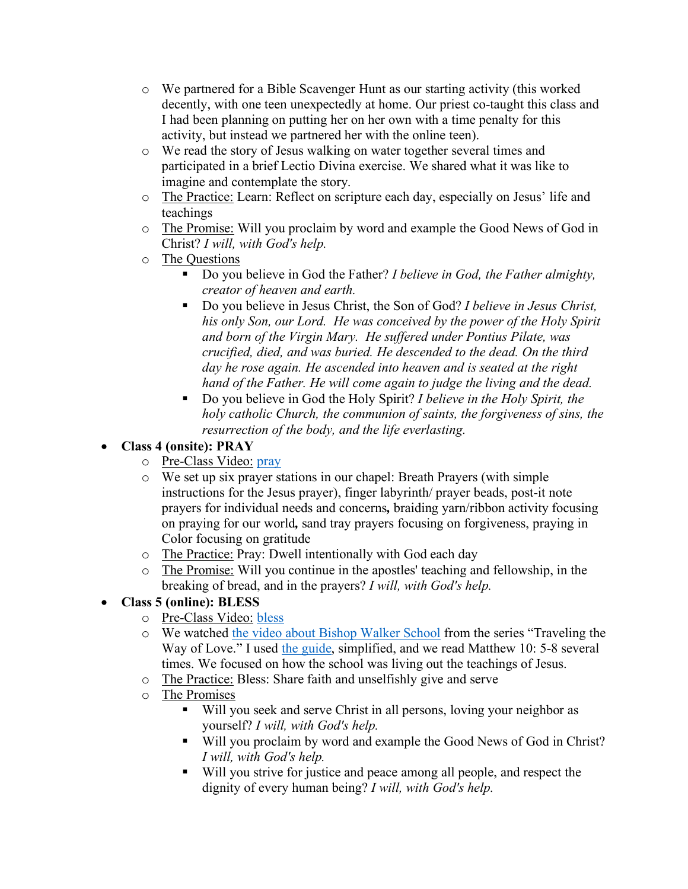- o We partnered for a Bible Scavenger Hunt as our starting activity (this worked decently, with one teen unexpectedly at home. Our priest co-taught this class and I had been planning on putting her on her own with a time penalty for this activity, but instead we partnered her with the online teen).
- o We read the story of Jesus walking on water together several times and participated in a brief Lectio Divina exercise. We shared what it was like to imagine and contemplate the story.
- o The Practice: Learn: Reflect on scripture each day, especially on Jesus' life and teachings
- o The Promise: Will you proclaim by word and example the Good News of God in Christ? *I will, with God's help.*
- o The Questions
	- Do you believe in God the Father? *I believe in God, the Father almighty*, *creator of heaven and earth.*
	- § Do you believe in Jesus Christ, the Son of God? *I believe in Jesus Christ, his only Son, our Lord. He was conceived by the power of the Holy Spirit and born of the Virgin Mary. He suffered under Pontius Pilate, was crucified, died, and was buried. He descended to the dead. On the third day he rose again. He ascended into heaven and is seated at the right hand of the Father. He will come again to judge the living and the dead.*
	- Do you believe in God the Holy Spirit? *I believe in the Holy Spirit, the holy catholic Church, the communion of saints, the forgiveness of sins, the resurrection of the body, and the life everlasting.*

# • **Class 4 (onsite): PRAY**

- o Pre-Class Video: pray
- o We set up six prayer stations in our chapel: Breath Prayers (with simple instructions for the Jesus prayer), finger labyrinth/ prayer beads, post-it note prayers for individual needs and concerns*,* braiding yarn/ribbon activity focusing on praying for our world*,* sand tray prayers focusing on forgiveness, praying in Color focusing on gratitude
- o The Practice: Pray: Dwell intentionally with God each day
- o The Promise: Will you continue in the apostles' teaching and fellowship, in the breaking of bread, and in the prayers? *I will, with God's help.*
- **Class 5 (online): BLESS**
	- o Pre-Class Video: bless
	- o We watched the video about Bishop Walker School from the series "Traveling the Way of Love." I used the guide, simplified, and we read Matthew 10: 5-8 several times. We focused on how the school was living out the teachings of Jesus.
	- o The Practice: Bless: Share faith and unselfishly give and serve
	- o The Promises
		- Will you seek and serve Christ in all persons, loving your neighbor as yourself? *I will, with God's help.*
		- Will you proclaim by word and example the Good News of God in Christ? *I will, with God's help.*
		- § Will you strive for justice and peace among all people, and respect the dignity of every human being? *I will, with God's help.*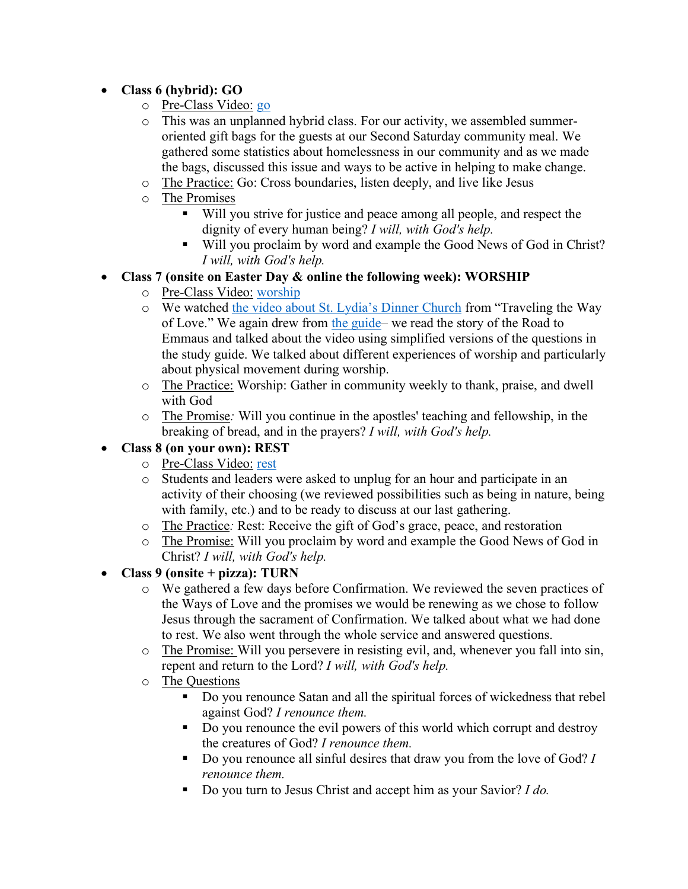## • **Class 6 (hybrid): GO**

- o Pre-Class Video: go
- o This was an unplanned hybrid class. For our activity, we assembled summeroriented gift bags for the guests at our Second Saturday community meal. We gathered some statistics about homelessness in our community and as we made the bags, discussed this issue and ways to be active in helping to make change.
- o The Practice: Go: Cross boundaries, listen deeply, and live like Jesus
- o The Promises
	- § Will you strive for justice and peace among all people, and respect the dignity of every human being? *I will, with God's help.*
	- Will you proclaim by word and example the Good News of God in Christ? *I will, with God's help.*
- **Class 7 (onsite on Easter Day & online the following week): WORSHIP**
	- o Pre-Class Video: worship
	- o We watched the video about St. Lydia's Dinner Church from "Traveling the Way of Love." We again drew from the guide– we read the story of the Road to Emmaus and talked about the video using simplified versions of the questions in the study guide. We talked about different experiences of worship and particularly about physical movement during worship.
	- o The Practice: Worship: Gather in community weekly to thank, praise, and dwell with God
	- o The Promise*:* Will you continue in the apostles' teaching and fellowship, in the breaking of bread, and in the prayers? *I will, with God's help.*

### • **Class 8 (on your own): REST**

- o Pre-Class Video: rest
- o Students and leaders were asked to unplug for an hour and participate in an activity of their choosing (we reviewed possibilities such as being in nature, being with family, etc.) and to be ready to discuss at our last gathering.
- o The Practice*:* Rest: Receive the gift of God's grace, peace, and restoration
- o The Promise: Will you proclaim by word and example the Good News of God in Christ? *I will, with God's help.*
- **Class 9 (onsite + pizza): TURN**
	- o We gathered a few days before Confirmation. We reviewed the seven practices of the Ways of Love and the promises we would be renewing as we chose to follow Jesus through the sacrament of Confirmation. We talked about what we had done to rest. We also went through the whole service and answered questions.
	- o The Promise: Will you persevere in resisting evil, and, whenever you fall into sin, repent and return to the Lord? *I will, with God's help.*
	- o The Questions
		- Do you renounce Satan and all the spiritual forces of wickedness that rebel against God? *I renounce them.*
		- Do you renounce the evil powers of this world which corrupt and destroy the creatures of God? *I renounce them.*
		- Do you renounce all sinful desires that draw you from the love of God? *I renounce them.*
		- Do you turn to Jesus Christ and accept him as your Savior? *I do.*